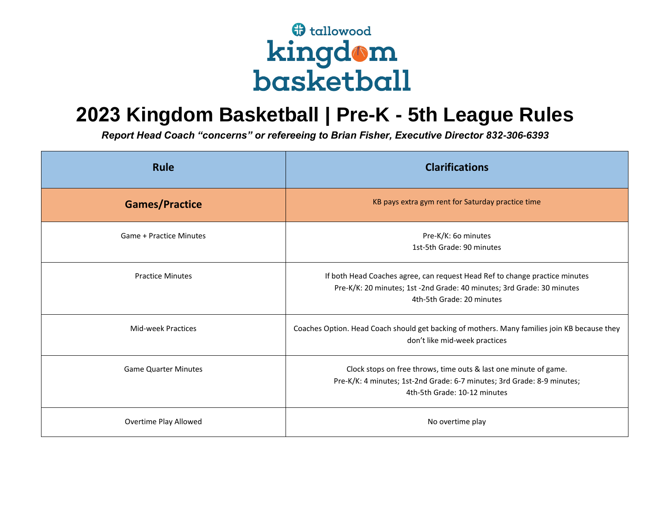## **f** tallowood kingdom<br>basketball

## **2023 Kingdom Basketball | Pre-K - 5th League Rules**

*Report Head Coach "concerns" or refereeing to Brian Fisher, Executive Director 832-306-6393*

| <b>Rule</b>                    | <b>Clarifications</b>                                                                                                                                                              |
|--------------------------------|------------------------------------------------------------------------------------------------------------------------------------------------------------------------------------|
| <b>Games/Practice</b>          | KB pays extra gym rent for Saturday practice time                                                                                                                                  |
| <b>Game + Practice Minutes</b> | Pre-K/K: 60 minutes<br>1st-5th Grade: 90 minutes                                                                                                                                   |
| <b>Practice Minutes</b>        | If both Head Coaches agree, can request Head Ref to change practice minutes<br>Pre-K/K: 20 minutes; 1st -2nd Grade: 40 minutes; 3rd Grade: 30 minutes<br>4th-5th Grade: 20 minutes |
| Mid-week Practices             | Coaches Option. Head Coach should get backing of mothers. Many families join KB because they<br>don't like mid-week practices                                                      |
| <b>Game Quarter Minutes</b>    | Clock stops on free throws, time outs & last one minute of game.<br>Pre-K/K: 4 minutes; 1st-2nd Grade: 6-7 minutes; 3rd Grade: 8-9 minutes;<br>4th-5th Grade: 10-12 minutes        |
| Overtime Play Allowed          | No overtime play                                                                                                                                                                   |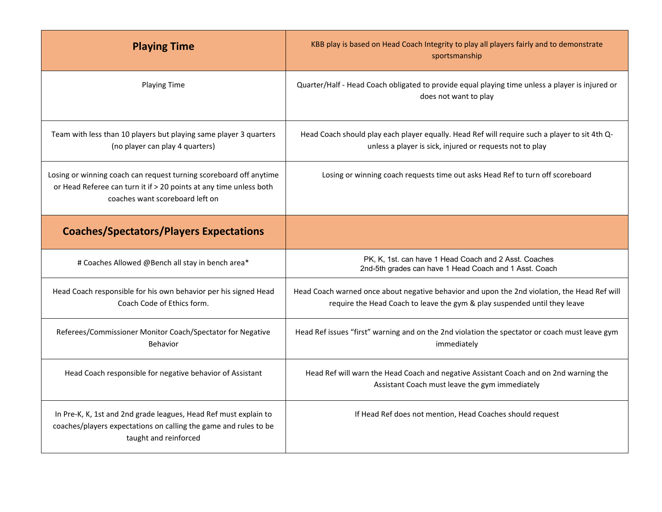| <b>Playing Time</b>                                                                                                                                                         | KBB play is based on Head Coach Integrity to play all players fairly and to demonstrate<br>sportsmanship                                                                  |
|-----------------------------------------------------------------------------------------------------------------------------------------------------------------------------|---------------------------------------------------------------------------------------------------------------------------------------------------------------------------|
| <b>Playing Time</b>                                                                                                                                                         | Quarter/Half - Head Coach obligated to provide equal playing time unless a player is injured or<br>does not want to play                                                  |
| Team with less than 10 players but playing same player 3 quarters<br>(no player can play 4 quarters)                                                                        | Head Coach should play each player equally. Head Ref will require such a player to sit 4th Q-<br>unless a player is sick, injured or requests not to play                 |
| Losing or winning coach can request turning scoreboard off anytime<br>or Head Referee can turn it if > 20 points at any time unless both<br>coaches want scoreboard left on | Losing or winning coach requests time out asks Head Ref to turn off scoreboard                                                                                            |
| <b>Coaches/Spectators/Players Expectations</b>                                                                                                                              |                                                                                                                                                                           |
| # Coaches Allowed @Bench all stay in bench area*                                                                                                                            | PK, K, 1st. can have 1 Head Coach and 2 Asst. Coaches<br>2nd-5th grades can have 1 Head Coach and 1 Asst. Coach                                                           |
| Head Coach responsible for his own behavior per his signed Head<br>Coach Code of Ethics form.                                                                               | Head Coach warned once about negative behavior and upon the 2nd violation, the Head Ref will<br>require the Head Coach to leave the gym & play suspended until they leave |
| Referees/Commissioner Monitor Coach/Spectator for Negative<br><b>Behavior</b>                                                                                               | Head Ref issues "first" warning and on the 2nd violation the spectator or coach must leave gym<br>immediately                                                             |
| Head Coach responsible for negative behavior of Assistant                                                                                                                   | Head Ref will warn the Head Coach and negative Assistant Coach and on 2nd warning the<br>Assistant Coach must leave the gym immediately                                   |
| In Pre-K, K, 1st and 2nd grade leagues, Head Ref must explain to<br>coaches/players expectations on calling the game and rules to be<br>taught and reinforced               | If Head Ref does not mention, Head Coaches should request                                                                                                                 |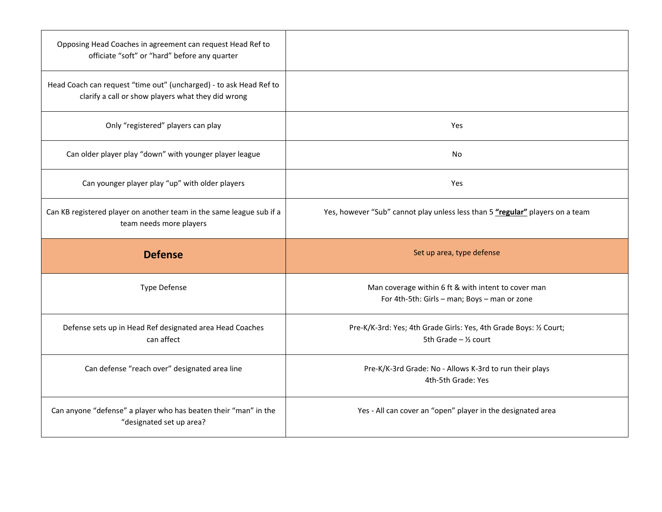| Opposing Head Coaches in agreement can request Head Ref to<br>officiate "soft" or "hard" before any quarter              |                                                                                                           |
|--------------------------------------------------------------------------------------------------------------------------|-----------------------------------------------------------------------------------------------------------|
| Head Coach can request "time out" (uncharged) - to ask Head Ref to<br>clarify a call or show players what they did wrong |                                                                                                           |
| Only "registered" players can play                                                                                       | Yes                                                                                                       |
| Can older player play "down" with younger player league                                                                  | No                                                                                                        |
| Can younger player play "up" with older players                                                                          | Yes                                                                                                       |
| Can KB registered player on another team in the same league sub if a<br>team needs more players                          | Yes, however "Sub" cannot play unless less than 5 "regular" players on a team                             |
|                                                                                                                          |                                                                                                           |
| <b>Defense</b>                                                                                                           | Set up area, type defense                                                                                 |
| <b>Type Defense</b>                                                                                                      | Man coverage within 6 ft & with intent to cover man<br>For 4th-5th: Girls - man; Boys - man or zone       |
| Defense sets up in Head Ref designated area Head Coaches<br>can affect                                                   | Pre-K/K-3rd: Yes; 4th Grade Girls: Yes, 4th Grade Boys: 1/2 Court;<br>5th Grade $-$ 1/ <sub>2</sub> court |
| Can defense "reach over" designated area line                                                                            | Pre-K/K-3rd Grade: No - Allows K-3rd to run their plays<br>4th-5th Grade: Yes                             |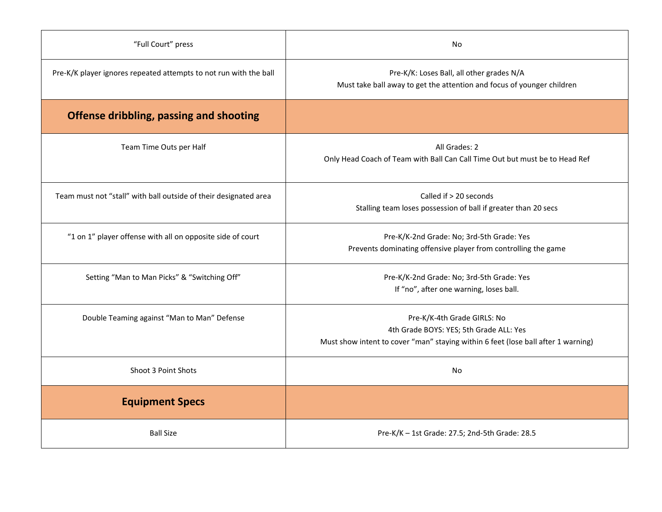| "Full Court" press                                                | No                                                                                                                                                          |
|-------------------------------------------------------------------|-------------------------------------------------------------------------------------------------------------------------------------------------------------|
| Pre-K/K player ignores repeated attempts to not run with the ball | Pre-K/K: Loses Ball, all other grades N/A<br>Must take ball away to get the attention and focus of younger children                                         |
| Offense dribbling, passing and shooting                           |                                                                                                                                                             |
| Team Time Outs per Half                                           | All Grades: 2<br>Only Head Coach of Team with Ball Can Call Time Out but must be to Head Ref                                                                |
| Team must not "stall" with ball outside of their designated area  | Called if > 20 seconds<br>Stalling team loses possession of ball if greater than 20 secs                                                                    |
| "1 on 1" player offense with all on opposite side of court        | Pre-K/K-2nd Grade: No; 3rd-5th Grade: Yes<br>Prevents dominating offensive player from controlling the game                                                 |
| Setting "Man to Man Picks" & "Switching Off"                      | Pre-K/K-2nd Grade: No; 3rd-5th Grade: Yes<br>If "no", after one warning, loses ball.                                                                        |
| Double Teaming against "Man to Man" Defense                       | Pre-K/K-4th Grade GIRLS: No<br>4th Grade BOYS: YES; 5th Grade ALL: Yes<br>Must show intent to cover "man" staying within 6 feet (lose ball after 1 warning) |
| Shoot 3 Point Shots                                               | No                                                                                                                                                          |
| <b>Equipment Specs</b>                                            |                                                                                                                                                             |
| <b>Ball Size</b>                                                  | Pre-K/K - 1st Grade: 27.5; 2nd-5th Grade: 28.5                                                                                                              |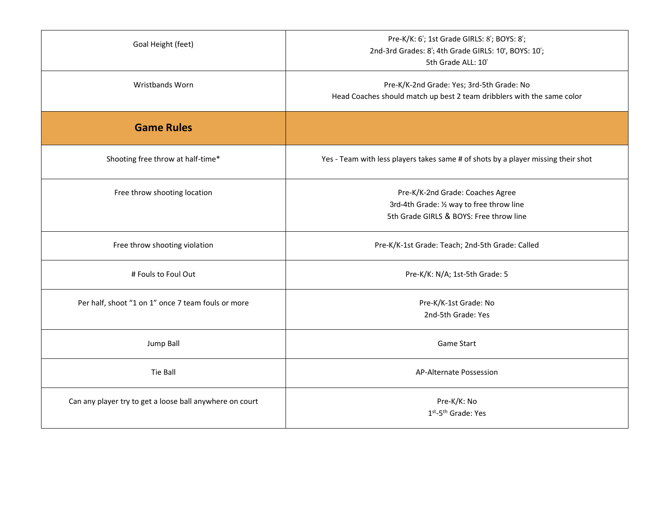| Goal Height (feet)                                       | Pre-K/K: 6'; 1st Grade GIRLS: 8'; BOYS: 8';<br>2nd-3rd Grades: 8'; 4th Grade GIRLS: 10', BOYS: 10';<br>5th Grade ALL: 10' |
|----------------------------------------------------------|---------------------------------------------------------------------------------------------------------------------------|
| Wristbands Worn                                          | Pre-K/K-2nd Grade: Yes; 3rd-5th Grade: No<br>Head Coaches should match up best 2 team dribblers with the same color       |
| <b>Game Rules</b>                                        |                                                                                                                           |
| Shooting free throw at half-time*                        | Yes - Team with less players takes same # of shots by a player missing their shot                                         |
| Free throw shooting location                             | Pre-K/K-2nd Grade: Coaches Agree<br>3rd-4th Grade: 1/2 way to free throw line<br>5th Grade GIRLS & BOYS: Free throw line  |
| Free throw shooting violation                            | Pre-K/K-1st Grade: Teach; 2nd-5th Grade: Called                                                                           |
| # Fouls to Foul Out                                      | Pre-K/K: N/A; 1st-5th Grade: 5                                                                                            |
| Per half, shoot "1 on 1" once 7 team fouls or more       | Pre-K/K-1st Grade: No<br>2nd-5th Grade: Yes                                                                               |
| Jump Ball                                                | <b>Game Start</b>                                                                                                         |
| Tie Ball                                                 | <b>AP-Alternate Possession</b>                                                                                            |
| Can any player try to get a loose ball anywhere on court | Pre-K/K: No<br>1st-5th Grade: Yes                                                                                         |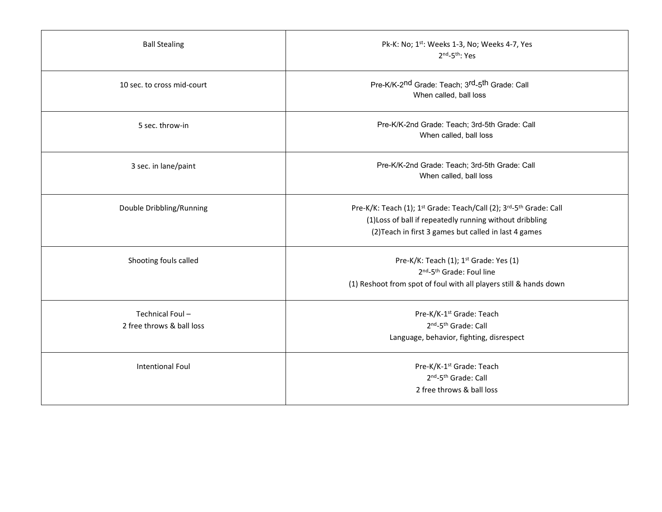| <b>Ball Stealing</b>                         | Pk-K: No; 1st: Weeks 1-3, No; Weeks 4-7, Yes<br>2nd-5th: Yes                                                                                                                                                                 |
|----------------------------------------------|------------------------------------------------------------------------------------------------------------------------------------------------------------------------------------------------------------------------------|
| 10 sec. to cross mid-court                   | Pre-K/K-2 <sup>nd</sup> Grade: Teach; 3 <sup>rd</sup> -5 <sup>th</sup> Grade: Call<br>When called, ball loss                                                                                                                 |
| 5 sec. throw-in                              | Pre-K/K-2nd Grade: Teach; 3rd-5th Grade: Call<br>When called, ball loss                                                                                                                                                      |
| 3 sec. in lane/paint                         | Pre-K/K-2nd Grade: Teach; 3rd-5th Grade: Call<br>When called, ball loss                                                                                                                                                      |
| Double Dribbling/Running                     | Pre-K/K: Teach (1); 1 <sup>st</sup> Grade: Teach/Call (2); 3 <sup>rd</sup> -5 <sup>th</sup> Grade: Call<br>(1) Loss of ball if repeatedly running without dribbling<br>(2) Teach in first 3 games but called in last 4 games |
| Shooting fouls called                        | Pre-K/K: Teach (1); 1 <sup>st</sup> Grade: Yes (1)<br>2 <sup>nd</sup> -5 <sup>th</sup> Grade: Foul line<br>(1) Reshoot from spot of foul with all players still & hands down                                                 |
| Technical Foul-<br>2 free throws & ball loss | Pre-K/K-1 <sup>st</sup> Grade: Teach<br>2nd-5th Grade: Call<br>Language, behavior, fighting, disrespect                                                                                                                      |
| Intentional Foul                             | Pre-K/K-1 <sup>st</sup> Grade: Teach<br>2 <sup>nd</sup> -5 <sup>th</sup> Grade: Call<br>2 free throws & ball loss                                                                                                            |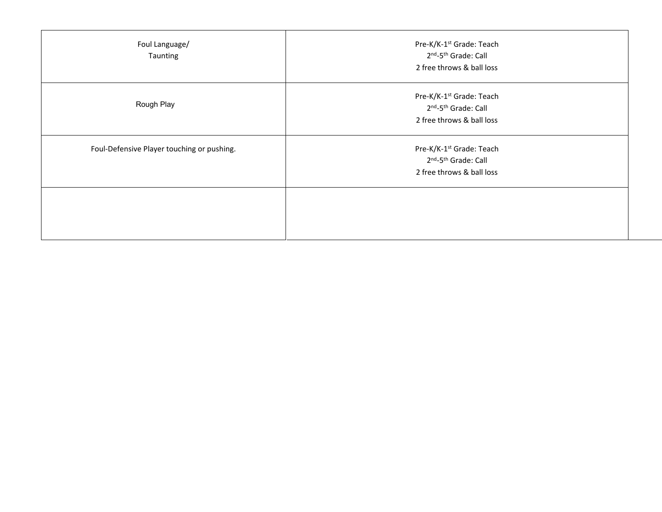| Foul Language/<br>Taunting                 | Pre-K/K-1 <sup>st</sup> Grade: Teach<br>2nd-5th Grade: Call<br>2 free throws & ball loss                          |
|--------------------------------------------|-------------------------------------------------------------------------------------------------------------------|
| Rough Play                                 | Pre-K/K-1 <sup>st</sup> Grade: Teach<br>2 <sup>nd</sup> -5 <sup>th</sup> Grade: Call<br>2 free throws & ball loss |
| Foul-Defensive Player touching or pushing. | Pre-K/K-1 <sup>st</sup> Grade: Teach<br>2 <sup>nd</sup> -5 <sup>th</sup> Grade: Call<br>2 free throws & ball loss |
|                                            |                                                                                                                   |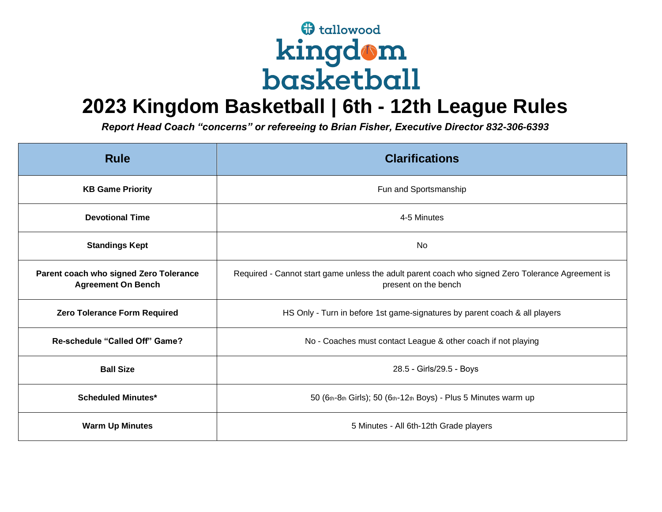## **f** tallowood kingdom<br>basketball

## **2023 Kingdom Basketball | 6th - 12th League Rules**

*Report Head Coach "concerns" or refereeing to Brian Fisher, Executive Director 832-306-6393*

| <b>Rule</b>                                                         | <b>Clarifications</b>                                                                                                     |
|---------------------------------------------------------------------|---------------------------------------------------------------------------------------------------------------------------|
| <b>KB Game Priority</b>                                             | Fun and Sportsmanship                                                                                                     |
| <b>Devotional Time</b>                                              | 4-5 Minutes                                                                                                               |
| <b>Standings Kept</b>                                               | No                                                                                                                        |
| Parent coach who signed Zero Tolerance<br><b>Agreement On Bench</b> | Required - Cannot start game unless the adult parent coach who signed Zero Tolerance Agreement is<br>present on the bench |
| <b>Zero Tolerance Form Required</b>                                 | HS Only - Turn in before 1st game-signatures by parent coach & all players                                                |
| Re-schedule "Called Off" Game?                                      | No - Coaches must contact League & other coach if not playing                                                             |
| <b>Ball Size</b>                                                    | 28.5 - Girls/29.5 - Boys                                                                                                  |
| <b>Scheduled Minutes*</b>                                           | 50 (6th-8th Girls); 50 (6th-12th Boys) - Plus 5 Minutes warm up                                                           |
| <b>Warm Up Minutes</b>                                              | 5 Minutes - All 6th-12th Grade players                                                                                    |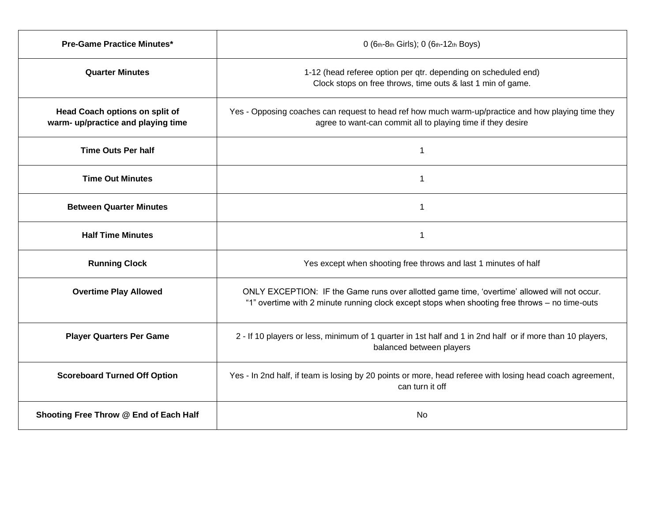| <b>Pre-Game Practice Minutes*</b>                                    | 0 (6th-8th Girls); 0 (6th-12th Boys)                                                                                                                                                           |
|----------------------------------------------------------------------|------------------------------------------------------------------------------------------------------------------------------------------------------------------------------------------------|
| <b>Quarter Minutes</b>                                               | 1-12 (head referee option per qtr. depending on scheduled end)<br>Clock stops on free throws, time outs & last 1 min of game.                                                                  |
| Head Coach options on split of<br>warm- up/practice and playing time | Yes - Opposing coaches can request to head ref how much warm-up/practice and how playing time they<br>agree to want-can commit all to playing time if they desire                              |
| <b>Time Outs Per half</b>                                            | -1                                                                                                                                                                                             |
| <b>Time Out Minutes</b>                                              | 1                                                                                                                                                                                              |
| <b>Between Quarter Minutes</b>                                       | 1                                                                                                                                                                                              |
| <b>Half Time Minutes</b>                                             | 1                                                                                                                                                                                              |
| <b>Running Clock</b>                                                 | Yes except when shooting free throws and last 1 minutes of half                                                                                                                                |
| <b>Overtime Play Allowed</b>                                         | ONLY EXCEPTION: IF the Game runs over allotted game time, 'overtime' allowed will not occur.<br>"1" overtime with 2 minute running clock except stops when shooting free throws - no time-outs |
| <b>Player Quarters Per Game</b>                                      | 2 - If 10 players or less, minimum of 1 quarter in 1st half and 1 in 2nd half or if more than 10 players,<br>balanced between players                                                          |
| <b>Scoreboard Turned Off Option</b>                                  | Yes - In 2nd half, if team is losing by 20 points or more, head referee with losing head coach agreement,<br>can turn it off                                                                   |
| Shooting Free Throw @ End of Each Half                               | No                                                                                                                                                                                             |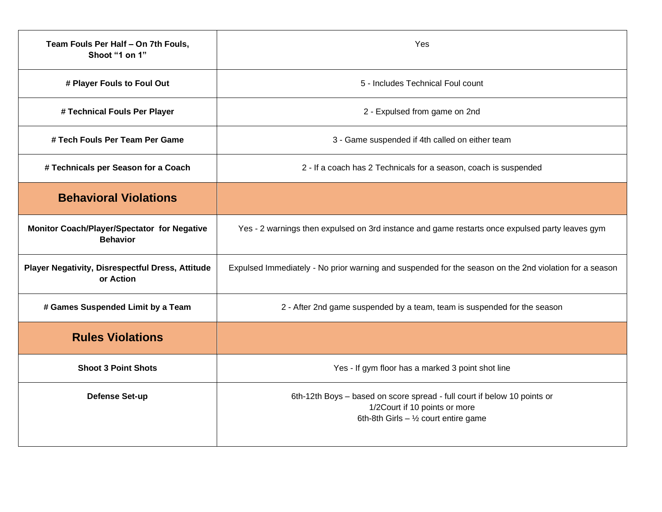| Team Fouls Per Half - On 7th Fouls,<br>Shoot "1 on 1"          | Yes                                                                                                                                                  |
|----------------------------------------------------------------|------------------------------------------------------------------------------------------------------------------------------------------------------|
| # Player Fouls to Foul Out                                     | 5 - Includes Technical Foul count                                                                                                                    |
| # Technical Fouls Per Player                                   | 2 - Expulsed from game on 2nd                                                                                                                        |
| # Tech Fouls Per Team Per Game                                 | 3 - Game suspended if 4th called on either team                                                                                                      |
| # Technicals per Season for a Coach                            | 2 - If a coach has 2 Technicals for a season, coach is suspended                                                                                     |
| <b>Behavioral Violations</b>                                   |                                                                                                                                                      |
| Monitor Coach/Player/Spectator for Negative<br><b>Behavior</b> | Yes - 2 warnings then expulsed on 3rd instance and game restarts once expulsed party leaves gym                                                      |
| Player Negativity, Disrespectful Dress, Attitude<br>or Action  | Expulsed Immediately - No prior warning and suspended for the season on the 2nd violation for a season                                               |
| # Games Suspended Limit by a Team                              | 2 - After 2nd game suspended by a team, team is suspended for the season                                                                             |
| <b>Rules Violations</b>                                        |                                                                                                                                                      |
| <b>Shoot 3 Point Shots</b>                                     | Yes - If gym floor has a marked 3 point shot line                                                                                                    |
| Defense Set-up                                                 | 6th-12th Boys - based on score spread - full court if below 10 points or<br>1/2Court if 10 points or more<br>6th-8th Girls $-$ 1/2 court entire game |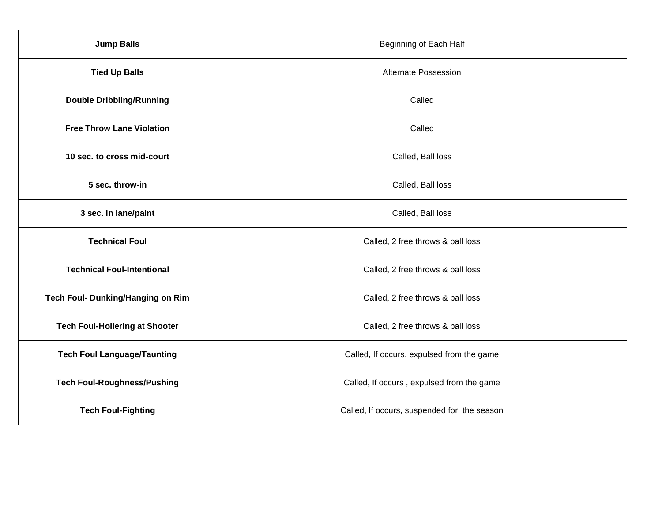| <b>Jump Balls</b>                     | <b>Beginning of Each Half</b>               |
|---------------------------------------|---------------------------------------------|
| <b>Tied Up Balls</b>                  | <b>Alternate Possession</b>                 |
| <b>Double Dribbling/Running</b>       | Called                                      |
| <b>Free Throw Lane Violation</b>      | Called                                      |
| 10 sec. to cross mid-court            | Called, Ball loss                           |
| 5 sec. throw-in                       | Called, Ball loss                           |
| 3 sec. in lane/paint                  | Called, Ball lose                           |
| <b>Technical Foul</b>                 | Called, 2 free throws & ball loss           |
| <b>Technical Foul-Intentional</b>     | Called, 2 free throws & ball loss           |
| Tech Foul- Dunking/Hanging on Rim     | Called, 2 free throws & ball loss           |
| <b>Tech Foul-Hollering at Shooter</b> | Called, 2 free throws & ball loss           |
| <b>Tech Foul Language/Taunting</b>    | Called, If occurs, expulsed from the game   |
| <b>Tech Foul-Roughness/Pushing</b>    | Called, If occurs, expulsed from the game   |
| <b>Tech Foul-Fighting</b>             | Called, If occurs, suspended for the season |